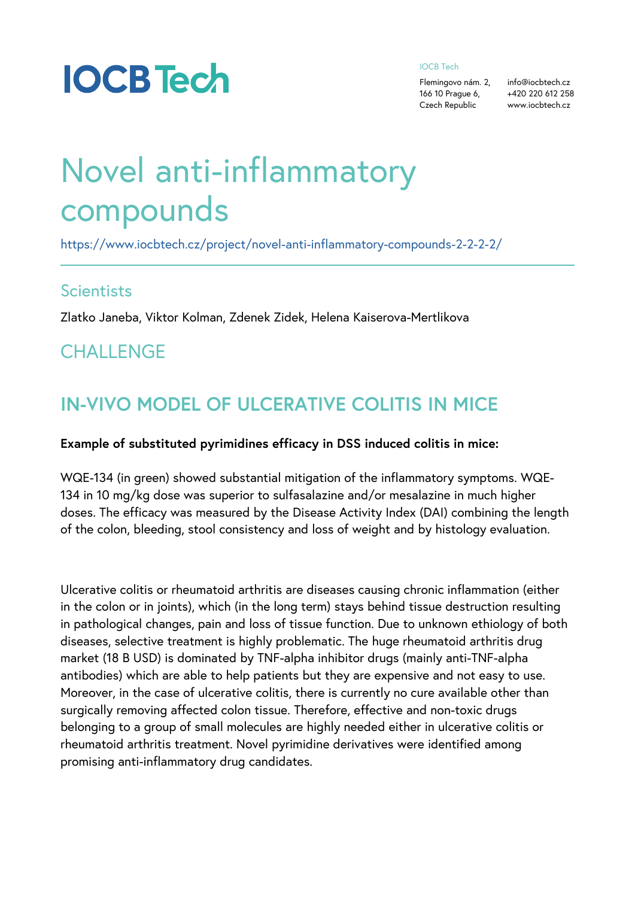#### IOCB Tech

Flemingovo nám. fo@iocbtech.cz 166 10 Prague +64,20 220 612 258 Czech Republicwww.iocbtech.cz

# Novel anti-inflammatory compounds

[https://www.iocbtech.cz/project/novel-anti-inflammatory-](https://www.iocbtech.cz/project/novel-anti-inflammatory-compounds-2-2-2-2/)compo

#### **Scientists**

Zlatko Janeba, Viktor Kolman, Zdenek Zidek, Helena Kaiserova

### **CHALLENGE**

### IN-VIVO MODEL OF ULCERATIVE COLITIS

Example of substituted pyrimidines efficacy in DSS induced co

WQE-134 (in green) showed substantial mitigation of the inflan 134 in 10 mg/kg dose was superior to sulfasalazine and/or mes doses. The efficacy was measured by the Disease Activity Inde of the colon, bleeding, stool consistency and loss of weight an

Ulcerative colitis or rheumatoid arthritis are diseases causing in the colon or in joints), which (in the long term) stays behind in pathological changes, pain and loss of tissue function. Due diseases, selective treatment is highly problematic. The huge market (18 B USD) is dominated by TNF-alpha inhibitor drugs ( antibodies) which are able to help patients but they are expen-Moreover, in the case of ulcerative colitis, there is currently no surgically removing affected colon tissue. Therefore, effective belonging to a group of small molecules are highly needed eith rheumatoid arthritis treatment. Novel pyrimidine derivatives we promising anti-inflammatory drug candidates.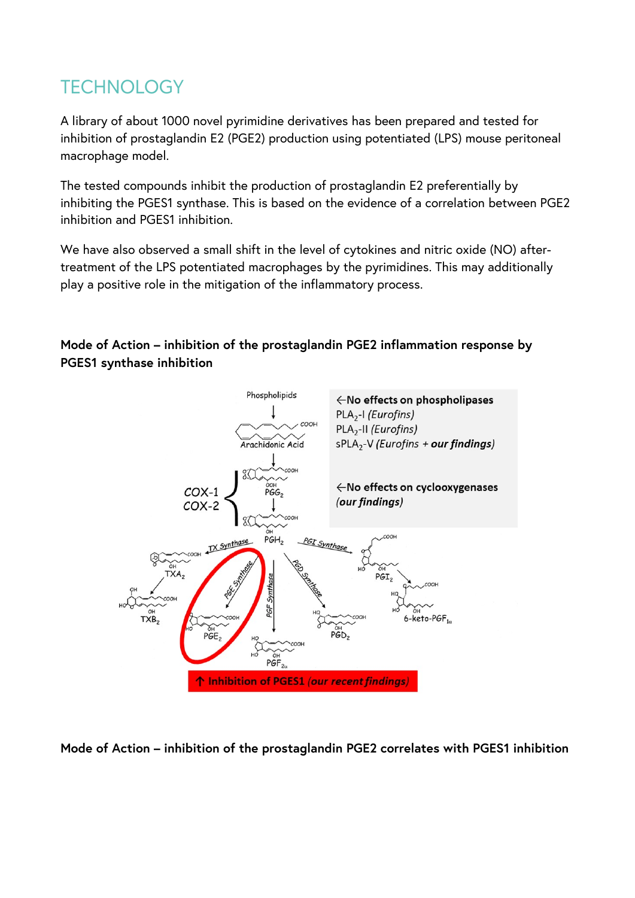# TECHNOLOGY

A library of about 1000 novel pyrimidine derivatives has been prepared and tested for inhibition of prostaglandin E2 (PGE2) production using potentiated (LPS) mouse peritoneal macrophage model.

The tested compounds inhibit the production of prostaglandin E2 preferentially by inhibiting the PGES1 synthase. This is based on the evidence of a correlation between PGE2 inhibition and PGES1 inhibition.

We have also observed a small shift in the level of cytokines and nitric oxide (NO) aftertreatment of the LPS potentiated macrophages by the pyrimidines. This may additionally play a positive role in the mitigation of the inflammatory process.

#### **Mode of Action – inhibition of the prostaglandin PGE2 inflammation response by PGES1 synthase inhibition**



**Mode of Action – inhibition of the prostaglandin PGE2 correlates with PGES1 inhibition**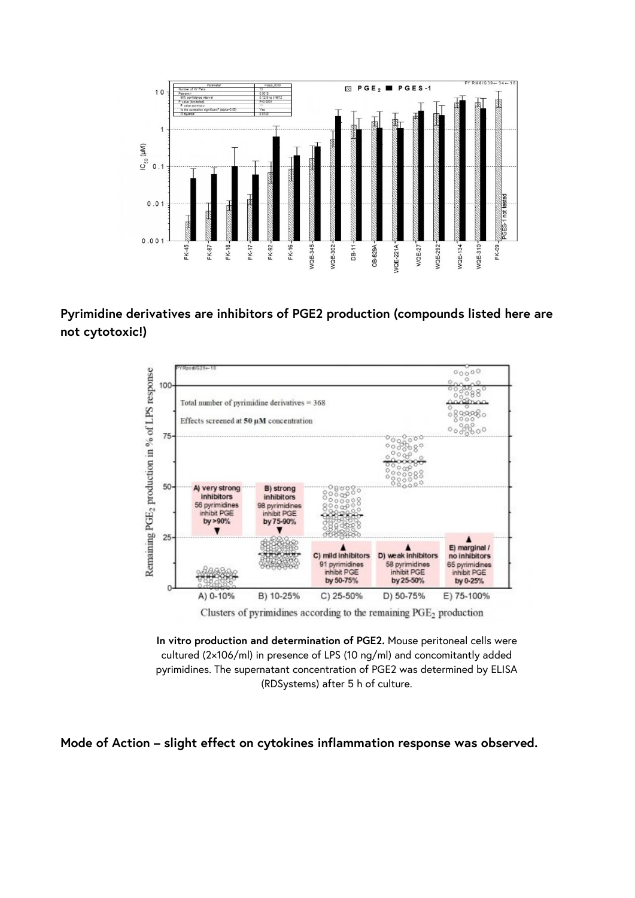

#### **Pyrimidine derivatives are inhibitors of PGE2 production (compounds listed here are not cytotoxic!)**



Clusters of pyrimidines according to the remaining  $PGE<sub>2</sub>$  production

**In vitro production and determination of PGE2.** Mouse peritoneal cells were cultured (2×106/ml) in presence of LPS (10 ng/ml) and concomitantly added pyrimidines. The supernatant concentration of PGE2 was determined by ELISA (RDSystems) after 5 h of culture.

**Mode of Action – slight effect on cytokines inflammation response was observed.**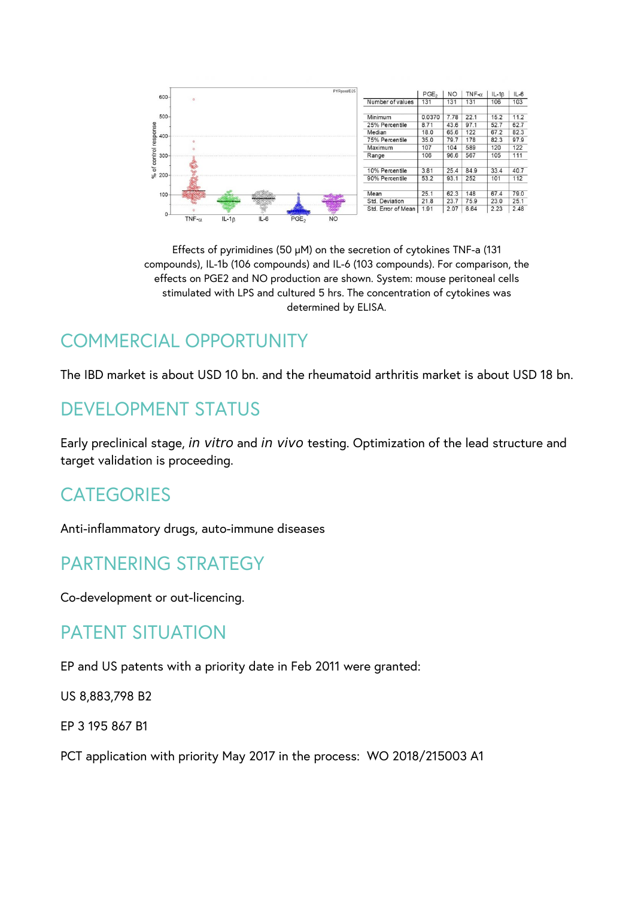

Effects of pyrimidines (50 µM) on the secretion of cytokines TNF-a (131 compounds), IL-1b (106 compounds) and IL-6 (103 compounds). For comparison, the effects on PGE2 and NO production are shown. System: mouse peritoneal cells stimulated with LPS and cultured 5 hrs. The concentration of cytokines was determined by ELISA.

# COMMERCIAL OPPORTUNITY

The IBD market is about USD 10 bn. and the rheumatoid arthritis market is about USD 18 bn.

### DEVELOPMENT STATUS

Early preclinical stage, *in vitro* and *in vivo* testing. Optimization of the lead structure and target validation is proceeding.

### **CATEGORIES**

Anti-inflammatory drugs, auto-immune diseases

## PARTNERING STRATEGY

Co-development or out-licencing.

### PATENT SITUATION

EP and US patents with a priority date in Feb 2011 were granted:

US 8,883,798 B2

EP 3 195 867 B1

PCT application with priority May 2017 in the process: WO 2018/215003 A1